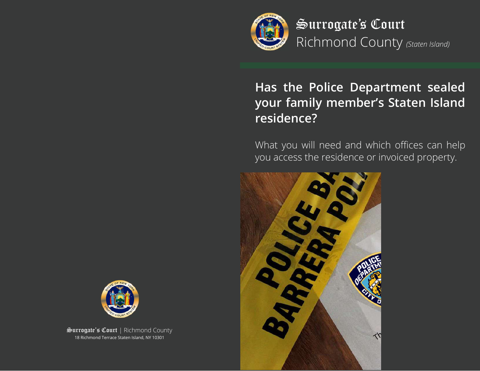

Surrogate's Court Richmond County *(Staten Island)*

# **Has the Police Department sealed your family member's Staten Island residence?**

What you will need and which offices can help you access the residence or invoiced property.





Surrogate's Court | Richmond County 18 Richmond Terrace Staten Island, NY 10301